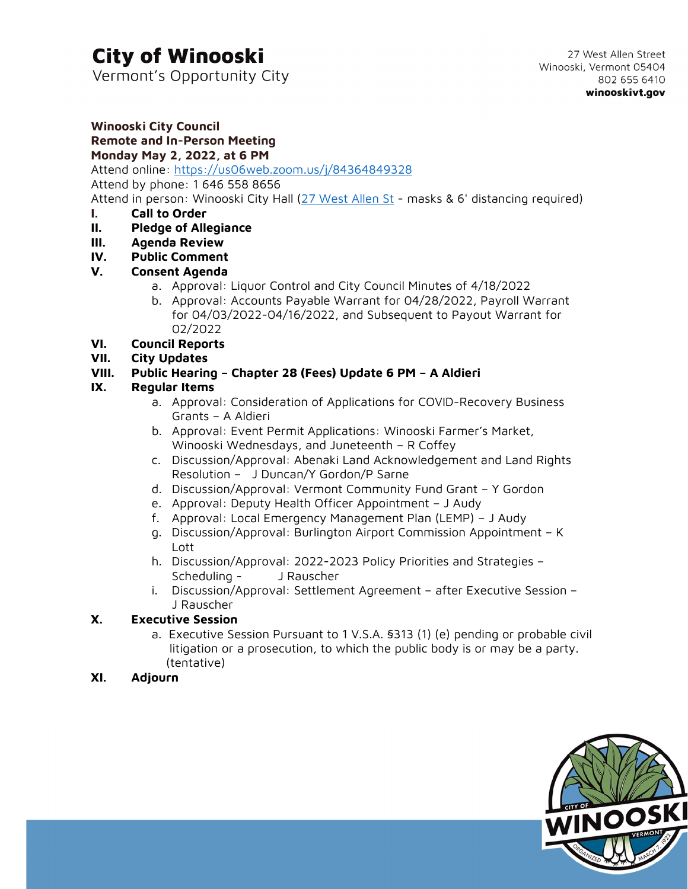# **City of Winooski**

Vermont's Opportunity City

#### **Winooski City Council Remote and In-Person Meeting Monday May 2, 2022, at 6 PM**

Attend online: <https://us06web.zoom.us/j/84364849328>

Attend by phone: 1 646 558 8656

Attend in person: Winooski City Hall [\(27 West Allen St](https://g.page/winooskivt?share) - masks & 6' distancing required)

#### **I. Call to Order**

- **II. Pledge of Allegiance**
- **III. Agenda Review**
- **IV. Public Comment**

#### **V. Consent Agenda**

- a. Approval: Liquor Control and City Council Minutes of 4/18/2022
- b. Approval: Accounts Payable Warrant for 04/28/2022, Payroll Warrant for 04/03/2022-04/16/2022, and Subsequent to Payout Warrant for 02/2022

#### **VI. Council Reports**

**VII. City Updates**

#### **VIII. Public Hearing – Chapter 28 (Fees) Update 6 PM – A Aldieri**

#### **IX. Regular Items**

- a. Approval: Consideration of Applications for COVID-Recovery Business Grants – A Aldieri
- b. Approval: Event Permit Applications: Winooski Farmer's Market, Winooski Wednesdays, and Juneteenth – R Coffey
- c. Discussion/Approval: Abenaki Land Acknowledgement and Land Rights Resolution – J Duncan/Y Gordon/P Sarne
- d. Discussion/Approval: Vermont Community Fund Grant Y Gordon
- e. Approval: Deputy Health Officer Appointment J Audy
- f. Approval: Local Emergency Management Plan (LEMP) J Audy
- g. Discussion/Approval: Burlington Airport Commission Appointment K Lott
- h. Discussion/Approval: 2022-2023 Policy Priorities and Strategies Scheduling - J Rauscher
- i. Discussion/Approval: Settlement Agreement after Executive Session J Rauscher

#### **X. Executive Session**

a. Executive Session Pursuant to 1 V.S.A. §313 (1) (e) pending or probable civil litigation or a prosecution, to which the public body is or may be a party. (tentative)

#### **XI. Adjourn**

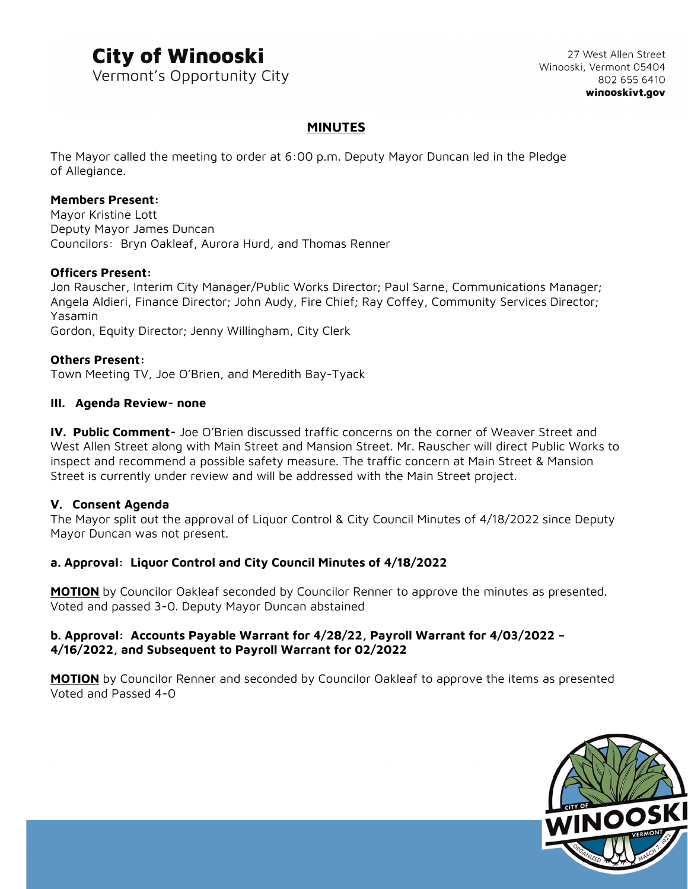## **City of Winooski**

Vermont's Opportunity City

27 West Allen Street Winooski, Vermont 05404 802 655 6410 winooskivt.gov

#### **MINUTES**

The Mayor called the meeting to order at 6:00 p.m. Deputy Mayor Duncan led in the Pledge of Allegiance.

#### **Members Present:**

Mayor Kristine Lott Deputy Mayor James Duncan Councilors: Bryn Oakleaf, Aurora Hurd, and Thomas Renner

#### **Officers Present:**

Jon Rauscher, Interim City Manager/Public Works Director; Paul Sarne, Communications Manager; Angela Aldieri, Finance Director; John Audy, Fire Chief; Ray Coffey, Community Services Director; Yasamin Gordon, Equity Director; Jenny Willingham, City Clerk

#### **Others Present:**

Town Meeting TV, Joe O'Brien, and Meredith Bay-Tyack

#### **III. Agenda Review- none**

**IV. Public Comment-** Joe O'Brien discussed traffic concerns on the corner of Weaver Street and West Allen Street along with Main Street and Mansion Street. Mr. Rauscher will direct Public Works to inspect and recommend a possible safety measure. The traffic concern at Main Street & Mansion Street is currently under review and will be addressed with the Main Street project.

#### **V. Consent Agenda**

The Mayor split out the approval of Liquor Control & City Council Minutes of 4/18/2022 since Deputy Mayor Duncan was not present.

#### **a. Approval: Liquor Control and City Council Minutes of 4/18/2022**

**MOTION** by Councilor Oakleaf seconded by Councilor Renner to approve the minutes as presented. Voted and passed 3-0. Deputy Mayor Duncan abstained

#### **b. Approval: Accounts Payable Warrant for 4/28/22, Payroll Warrant for 4/03/2022 – 4/16/2022, and Subsequent to Payroll Warrant for 02/2022**

**MOTION** by Councilor Renner and seconded by Councilor Oakleaf to approve the items as presented Voted and Passed 4-0

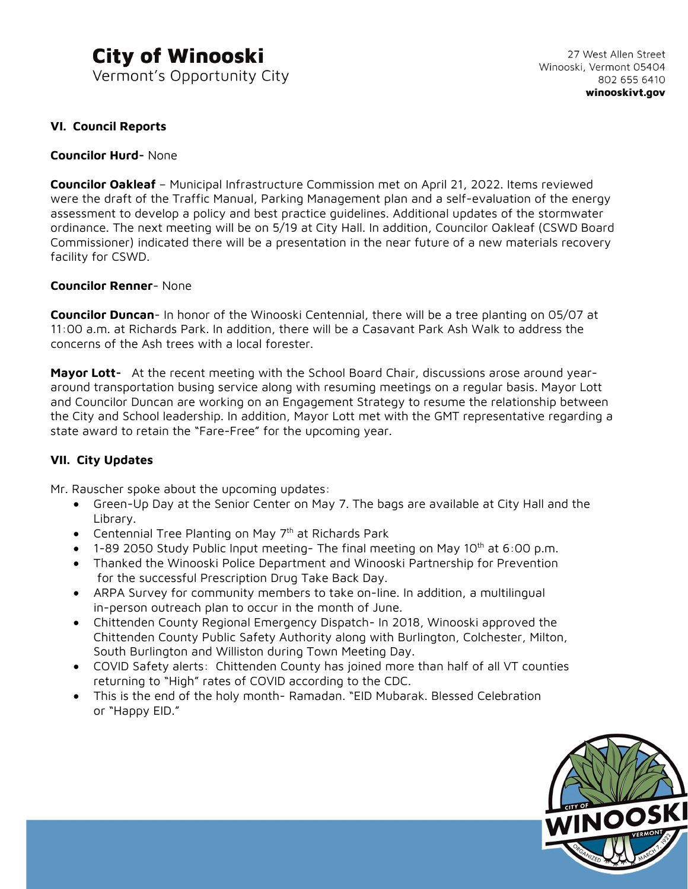### **City of Winooski** Vermont's Opportunity City

#### **VI. Council Reports**

#### **Councilor Hurd-** None

**Councilor Oakleaf** – Municipal Infrastructure Commission met on April 21, 2022. Items reviewed were the draft of the Traffic Manual, Parking Management plan and a self-evaluation of the energy assessment to develop a policy and best practice guidelines. Additional updates of the stormwater ordinance. The next meeting will be on 5/19 at City Hall. In addition, Councilor Oakleaf (CSWD Board Commissioner) indicated there will be a presentation in the near future of a new materials recovery facility for CSWD.

#### **Councilor Renner**- None

**Councilor Duncan**- In honor of the Winooski Centennial, there will be a tree planting on 05/07 at 11:00 a.m. at Richards Park. In addition, there will be a Casavant Park Ash Walk to address the concerns of the Ash trees with a local forester.

**Mayor Lott-** At the recent meeting with the School Board Chair, discussions arose around yeararound transportation busing service along with resuming meetings on a regular basis. Mayor Lott and Councilor Duncan are working on an Engagement Strategy to resume the relationship between the City and School leadership. In addition, Mayor Lott met with the GMT representative regarding a state award to retain the "Fare-Free" for the upcoming year.

#### **VII. City Updates**

Mr. Rauscher spoke about the upcoming updates:

- Green-Up Day at the Senior Center on May 7. The bags are available at City Hall and the Library.
- Centennial Tree Planting on May 7<sup>th</sup> at Richards Park
- $\bullet$  1-89 2050 Study Public Input meeting- The final meeting on May 10<sup>th</sup> at 6:00 p.m.
- Thanked the Winooski Police Department and Winooski Partnership for Prevention for the successful Prescription Drug Take Back Day.
- ARPA Survey for community members to take on-line. In addition, a multilingual in-person outreach plan to occur in the month of June.
- Chittenden County Regional Emergency Dispatch- In 2018, Winooski approved the Chittenden County Public Safety Authority along with Burlington, Colchester, Milton, South Burlington and Williston during Town Meeting Day.
- COVID Safety alerts: Chittenden County has joined more than half of all VT counties returning to "High" rates of COVID according to the CDC.
- This is the end of the holy month- Ramadan. "EID Mubarak. Blessed Celebration or "Happy EID."

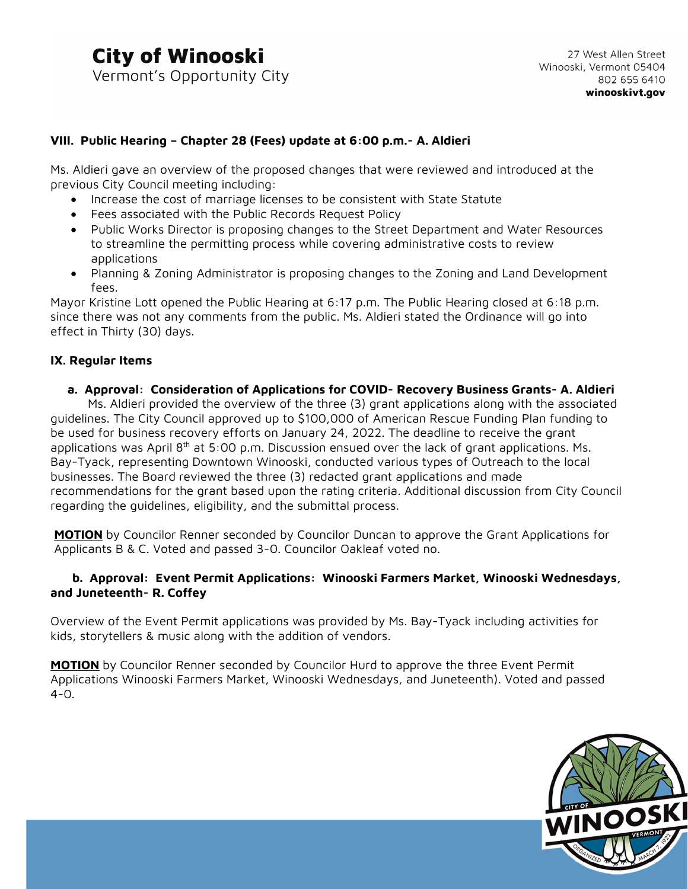#### **VIII. Public Hearing – Chapter 28 (Fees) update at 6:00 p.m.- A. Aldieri**

Ms. Aldieri gave an overview of the proposed changes that were reviewed and introduced at the previous City Council meeting including:

- Increase the cost of marriage licenses to be consistent with State Statute
- Fees associated with the Public Records Request Policy
- Public Works Director is proposing changes to the Street Department and Water Resources to streamline the permitting process while covering administrative costs to review applications
- Planning & Zoning Administrator is proposing changes to the Zoning and Land Development fees.

Mayor Kristine Lott opened the Public Hearing at 6:17 p.m. The Public Hearing closed at 6:18 p.m. since there was not any comments from the public. Ms. Aldieri stated the Ordinance will go into effect in Thirty (30) days.

#### **IX. Regular Items**

#### **a. Approval: Consideration of Applications for COVID- Recovery Business Grants- A. Aldieri**

Ms. Aldieri provided the overview of the three (3) grant applications along with the associated guidelines. The City Council approved up to \$100,000 of American Rescue Funding Plan funding to be used for business recovery efforts on January 24, 2022. The deadline to receive the grant applications was April  $8<sup>th</sup>$  at 5:00 p.m. Discussion ensued over the lack of grant applications. Ms. Bay-Tyack, representing Downtown Winooski, conducted various types of Outreach to the local businesses. The Board reviewed the three (3) redacted grant applications and made recommendations for the grant based upon the rating criteria. Additional discussion from City Council regarding the guidelines, eligibility, and the submittal process.

**MOTION** by Councilor Renner seconded by Councilor Duncan to approve the Grant Applications for Applicants B & C. Voted and passed 3-0. Councilor Oakleaf voted no.

#### **b. Approval: Event Permit Applications: Winooski Farmers Market, Winooski Wednesdays, and Juneteenth- R. Coffey**

Overview of the Event Permit applications was provided by Ms. Bay-Tyack including activities for kids, storytellers & music along with the addition of vendors.

**MOTION** by Councilor Renner seconded by Councilor Hurd to approve the three Event Permit Applications Winooski Farmers Market, Winooski Wednesdays, and Juneteenth). Voted and passed 4-0.

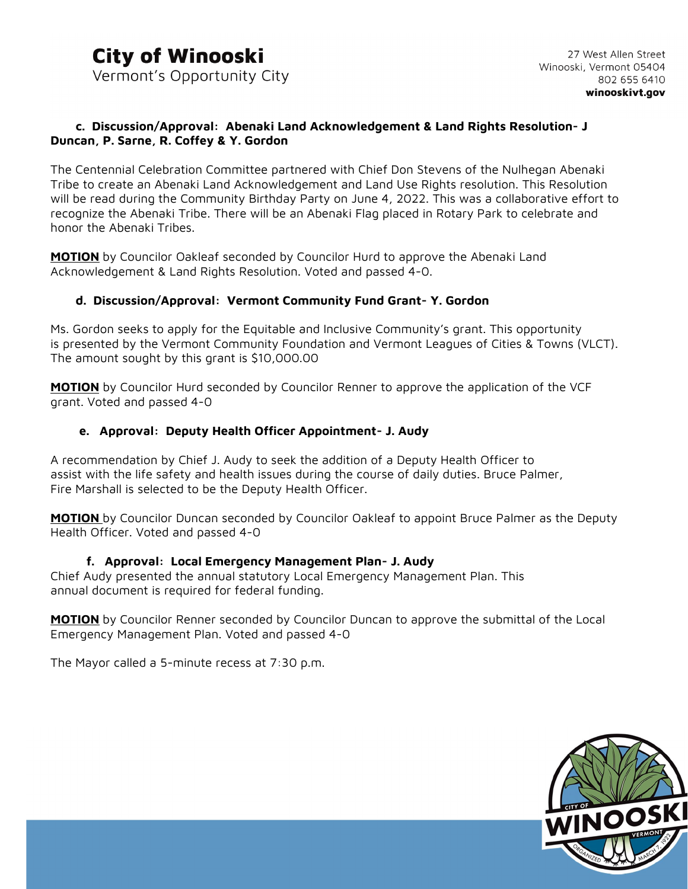#### **c. Discussion/Approval: Abenaki Land Acknowledgement & Land Rights Resolution- J Duncan, P. Sarne, R. Coffey & Y. Gordon**

The Centennial Celebration Committee partnered with Chief Don Stevens of the Nulhegan Abenaki Tribe to create an Abenaki Land Acknowledgement and Land Use Rights resolution. This Resolution will be read during the Community Birthday Party on June 4, 2022. This was a collaborative effort to recognize the Abenaki Tribe. There will be an Abenaki Flag placed in Rotary Park to celebrate and honor the Abenaki Tribes.

**MOTION** by Councilor Oakleaf seconded by Councilor Hurd to approve the Abenaki Land Acknowledgement & Land Rights Resolution. Voted and passed 4-0.

#### **d. Discussion/Approval: Vermont Community Fund Grant- Y. Gordon**

Ms. Gordon seeks to apply for the Equitable and Inclusive Community's grant. This opportunity is presented by the Vermont Community Foundation and Vermont Leagues of Cities & Towns (VLCT). The amount sought by this grant is \$10,000.00

**MOTION** by Councilor Hurd seconded by Councilor Renner to approve the application of the VCF grant. Voted and passed 4-0

#### **e. Approval: Deputy Health Officer Appointment- J. Audy**

A recommendation by Chief J. Audy to seek the addition of a Deputy Health Officer to assist with the life safety and health issues during the course of daily duties. Bruce Palmer, Fire Marshall is selected to be the Deputy Health Officer.

**MOTION** by Councilor Duncan seconded by Councilor Oakleaf to appoint Bruce Palmer as the Deputy Health Officer. Voted and passed 4-0

#### **f. Approval: Local Emergency Management Plan- J. Audy**

Chief Audy presented the annual statutory Local Emergency Management Plan. This annual document is required for federal funding.

**MOTION** by Councilor Renner seconded by Councilor Duncan to approve the submittal of the Local Emergency Management Plan. Voted and passed 4-0

The Mayor called a 5-minute recess at 7:30 p.m.

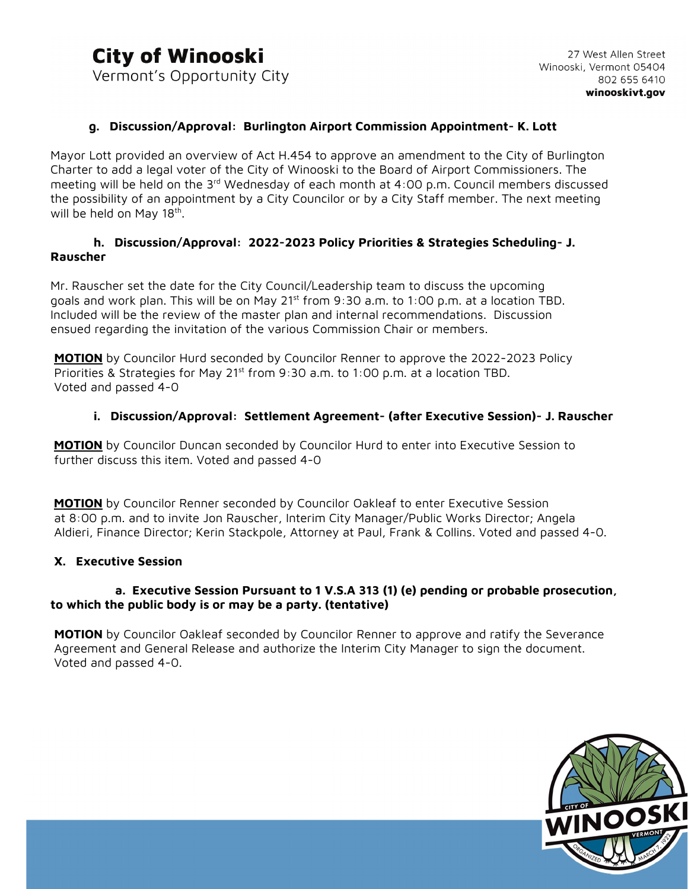#### **g. Discussion/Approval: Burlington Airport Commission Appointment- K. Lott**

Mayor Lott provided an overview of Act H.454 to approve an amendment to the City of Burlington Charter to add a legal voter of the City of Winooski to the Board of Airport Commissioners. The meeting will be held on the  $3<sup>rd</sup>$  Wednesday of each month at 4:00 p.m. Council members discussed the possibility of an appointment by a City Councilor or by a City Staff member. The next meeting will be held on May 18<sup>th</sup>.

#### **h. Discussion/Approval: 2022-2023 Policy Priorities & Strategies Scheduling- J. Rauscher**

Mr. Rauscher set the date for the City Council/Leadership team to discuss the upcoming goals and work plan. This will be on May 21st from 9:30 a.m. to 1:00 p.m. at a location TBD. Included will be the review of the master plan and internal recommendations. Discussion ensued regarding the invitation of the various Commission Chair or members.

**MOTION** by Councilor Hurd seconded by Councilor Renner to approve the 2022-2023 Policy Priorities & Strategies for May 21<sup>st</sup> from 9:30 a.m. to 1:00 p.m. at a location TBD. Voted and passed 4-0

#### **i. Discussion/Approval: Settlement Agreement- (after Executive Session)- J. Rauscher**

 **MOTION** by Councilor Duncan seconded by Councilor Hurd to enter into Executive Session to further discuss this item. Voted and passed 4-0

 **MOTION** by Councilor Renner seconded by Councilor Oakleaf to enter Executive Session at 8:00 p.m. and to invite Jon Rauscher, Interim City Manager/Public Works Director; Angela Aldieri, Finance Director; Kerin Stackpole, Attorney at Paul, Frank & Collins. Voted and passed 4-0.

#### **X. Executive Session**

#### **a. Executive Session Pursuant to 1 V.S.A 313 (1) (e) pending or probable prosecution, to which the public body is or may be a party. (tentative)**

**MOTION** by Councilor Oakleaf seconded by Councilor Renner to approve and ratify the Severance Agreement and General Release and authorize the Interim City Manager to sign the document. Voted and passed 4-0.